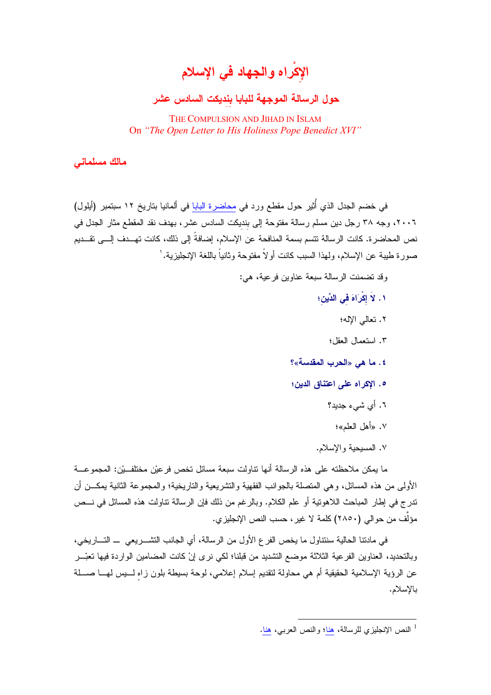الإكراه والجهاد في الإسلام

## حول الرسالة الموجهة للبابا بنديكت السادس عشر

THE COMPULSION AND JIHAD IN ISLAM On "The Open Letter to His Holiness Pope Benedict XVI"

مالك مسلمانى

في خضم الجدل الذي أُثير حول مقطع ورد في <u>محاضرة البابا</u> في ألمانيا بتاريخ ١٢ سبتمبر (أيلول) ٢٠٠٦، وجه ٣٨ رجل دين مسلم رسالة مفتوحة إلى بنديكت السادس عشر، بهدف نقد المقطع مثار الجدل في نص المحاضر ة. كانت الر سالة تتسم بسمة المنافحة عن الإسلام، إضافةً إلى ذلك، كانت تهـــدف إلــــى تقـــدبم صور: مطيبة عن الإسلام، ولمهذا السبب كانت أو لاً مفتوحة وثانياً باللغة الإنجليزية. '

وقد تضمنت الرسالة سبعة عناوين فرعية، هي:

- ١. لاَ إِكْرَاهَ فِي الدِّينِ؛
	- ٢. تعالى الإله؛
	- ٢. استعمال العقل؛
- ٤. ما هي «الحرب المقدسة»؟
- ه. الإكراه على اعتناق الدين؛
	- ٦. أي شيء جديد؟
		- ٧. «أهل الـعلم»؛
	- ٧. المسيحية والإسلام.

ما بمكن ملاحظته على هذه الرسالة أنها نتاولت سبعة مسائل تخص فر عبْن مختلف بْن: المجموعـــة الأولى من هذه المسائل، وهي المتصلة بالجوانب الفقهية والتشريعية والتاريخية؛ والمجموعة الثانية يمكـــن أن تدرج في إطار المباحث اللاهونية أو علم الكلام. وبالرغم من ذلك فإن الرسالة تتاولت هذه المسائل في نـــص مؤلف من حوالي (٢٨٥٠) كلمة لا غير ، حسب النص الإنجليز ي.

في مادنتا الحالية سنتناول ما يخص الفر ع الأول من الرسالة، أي الجانب التشــــريعي ـــ التــــاريخي، وبالتحديد، العناوين الفرعية الثلاثة موضع التشديد من فبلنا؛ لكي نرى إنْ كانت المضامين الواردة فيها تعبّـــر عن الرؤية الإسلامية الحقيقية أم هي محاولة لتقديم إسلام إعلامي، لوحة بسيطة بلون زاه لـــيس لهـــا صـــلة بالإسلام.

<sup>&</sup>lt;sup>1</sup> النص الإنجليزي للرسالة، هنا؛ والنص العربي، هنا.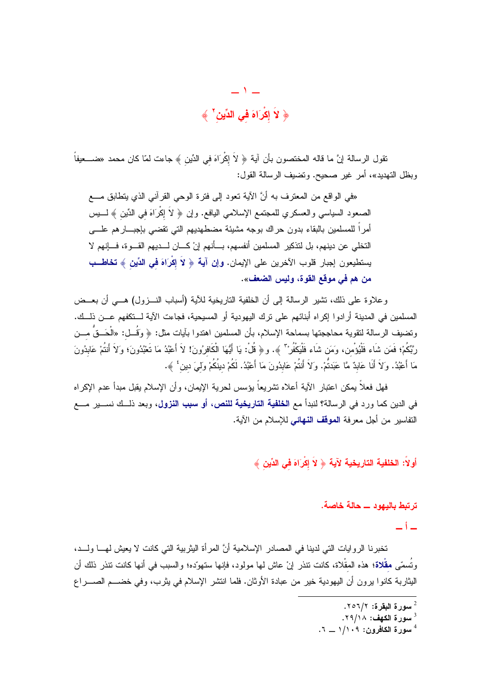$-1-$ ﴿ لَا إِكْرَاهَ فِي الدِّينِ ۚ ﴾

تقول الرسالة إنَّ ما قاله المختصون بأن آية ﴿ لاَ إِكْرَاهَ في الدِّين ﴾ جاءت لمّا كان محمد «ضــــعيفاً وبظل التهديد»، أمر غير صحيح. وتضيف الرسالة القول:

«في الواقع من المعترف به أنَّ الآية نعود إلى فترة الوحي القرآني الذي يتطابق مــــع الصعود السياسي والعسكري للمجتمع الإسلامي اليافع. وإن ﴿ لاَ إِكْرَاهَ فِي الدِّينِ ﴾ لـــــيس أمراً للمسلمين بالبقاء بدون حراك بوجه مشيئة مضطهديهم التي نقضى بإجبـــارهم علــــي التخلي عن دينهم، بل لتذكير المسلمين أنفسهم، بـــأنهم إنْ كـــان لـــديهم القـــوة، فـــإنهم لا يستطيعون إجبار قلوب الآخرين على الإيمان. وإن آية ﴿ لاَ إِكْرَاهَ فِي الدِّينِ ﴾ تخاطــب من هم في موقع القوة، وليس الضعف».

وعلاوة على ذلك، تشير الرسالة إلى أن الخلفية الناريخية للأية (أسباب النـــزول) هـــي أن بعـــض المسلمين في المدينة أرادوا إكراه أبنائهم على ترك اليهودية أو المسيحية، فجاءت الآية لــتكفهم عــن ذلــك. ونضيف الرسالة لنقوية محاججتها بسماحة الإسلام، بأن المسلمين اهتدوا بآيات مثل: ﴿ وَقُــل: «الْحَــقُ مـــن رِّبِّكُمْ؛ فَمَن شَاء فَلْيُؤمن، وَمَن شَاء فَلْيَكْفُرْ" ﴾. و﴿ قُلْ: يَا أَيُّهَا الْكَافِرُونَ! لاَ أَعْبُدُ مَا تَعْبُدُونَ؛ وَلاَ أَنتُمْ عَابِدُونَ مَا أَعْبُدُ. وَلاَ أَنَا عَابِدٌ مَّا عَبَدتُمْ. وَلاَ أَنتُمْ عَابِدُونَ مَا أَعْبُدُ. لَكُمْ دينُكُمْ ولميَ دين ٔ ﴾.

فهل فعلاً بِمكن اعتبار الآية أعلاه نشريعاً بؤسس لحرية الإيمان، وأن الإسلام يقبل مبدأ عدم الإكراه في الدين كما ورد في الرسالة؟ لنبدأ مع ا**لخلفية التاريخية للنص، أو سبب النزول،** وبعد ذلــك نســـير مـــع التفاسير من أجل معرفة ا**لموقف النهائي** للإسلام من الآية.

أولاً: الخلفية التاريخية لآية ﴿ لاَ إِكْرَاهَ فِي الدِّينِ ﴾

### ترتبط بالبهود ـــ حالة خاصة.

 $-i-$ 

تخبر نا الر و ابات التي لدينا في المصادر الإسلامية أنَّ المر أة البثر بية التي كانت لا يعيش لهــا و لـــد، وتُسمّى **مقْلاة؛** هذه المقْلاة، كانت نتذر إنْ عاش لها مولود، فإنها ستهوّده؛ والسبب في أنها كانت نتذر ذلك أن اليثاربة كانوا برون أن اليهودية خير من عبادة الأوثان. فلما انتشر الإسلام في يثرب، وفي خضـــم الصــــراع

سورة البقرة: ٢٥٦/٢.

سورة الكهف: ٢٩/١٨.

سورة الكافرون: ١/١٠٩ \_ ٦.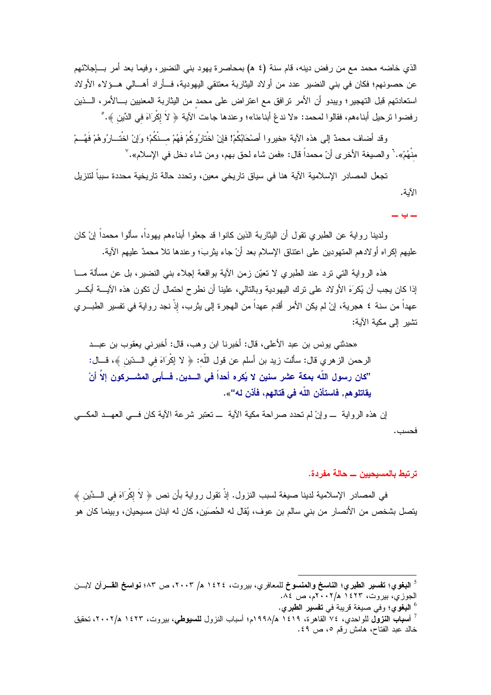الذي خاضه محمد مع من رفض دينه، قام سنة (٤ ﻫ) بمحاصرة يهود بني النضير ، وفيما بعد أمر بــــإجلائهم عن حصونـهم؛ فكان فـي بنـي النضير عدد من أولاد البثاربـة معتنقي اليـهوديـة، فـــأراد أهـــالـي هـــؤلاء الأولاد استعادتهم قبل التهجير؛ ويبدو أن الأمر نرافق مع اعتراض على محمد من اليثاربة المعنيين بـــالأمر، الـــذين رفضوا نرحيل أبناءهم، فقالوا لمحمد: «لا ندعْ أبناءنا»؛ وعندها جاءت الآية ﴿ لاَ إِكْرَاهَ في الدِّينِ ﴾. ْ

وقد أضاف محمدٌ إلى هذه الآية «خيروا أصنحَابُكُمْ! فإنْ اخْتارُوكُمْ فَهُمْ مــنْكُمْ؛ وَإنْ اخْتــارُوهُمْ فَهُــمْ منْهُمْ». ` والصيغة الأخرى أنّ محمداً قال: «فمن شاء لحق بهم، ومن شاء دخل في الإسلام». `

تجعل المصادر الإسلامية الآية هنا في سياق تاريخي معين، وتحدد حالة تاريخية محددة سبباً لتتزيل الأية.

 $= 4 -$ 

ولدينا رواية عن الطبري نقول أن اليثاربة الذين كانوا قد جعلوا أبناءهم يهوداً، سألوا محمداً إنْ كان عليهم إكراه أو لادهم المتهودين على اعتناق الإسلام بعد أنْ جاء يثربَ؛ وعندها نلا محمدٌ عليهم الآية.

هذه الرواية التي نزد عند الطبري لا نعيّن زمن الأية بواقعة إجلاء بنبي النضير، بل عن مسألة مـــا إذا كان يجب أن يُكرَهَ الأولاد على نزك اليهودية وبالتالي، علينا أن نطرح احتمال أن تكون هذه الآيــــة أبكــــر عهداً من سنة ٤ هجرية، إنْ لم يكن الأمر أقدم عهداً من الهجرة إلى يثرب، إِذْ نجد رواية في تفسير الطبـــري تشبر الے مكبة الآبة:

«حدثنـي يونس بن عبد الأعلـي، قال: أخبرنـا ابن وهب، قال: أخبرنـي يعقوب بن عبـــد الرحمن الزهري قال: سألت زيد بن أسلم عن قول اللّه: ﴿ لا إِكْرَاهَ في السِّينِ ﴾، قـــال: "كان رسول اللّه بمكة عثير سنين لا يُكره أحداً في السدين, فسأبي المشسركون إلاّ أنْ بِقاتلو هم, فاستأذن اللّه في قتالهم، فأذن له"».

إن هذه الرواية \_وإنْ لم تحدد صراحة مكية الآية \_تعتبر شرعة الآية كان فــي العهــد المكـــي فحسب.

### ترتبط بالمسيحيين ـــ حالة مفردة.

في المصادر الإسلامية لدينا صيغة لسبب النزول. إذْ نقول رواية بأن نص ﴿ لاَ إِكْرَاهَ في الــدِّينِ ﴾ يتصل بشخص من الأنصار من بني سالم بن عوف، يُقال له الحُصيَن، كان له ابنان مسيحيان، وبينما كان هو

<sup>6</sup> ا**لبغو**ي؛ وفي صيغة قريبة في **تفسير الطبري.** 

<sup>&</sup>lt;sup>5</sup> ال**بغوي؛ تفسير الطبري؛ الناسخ والمنسوخ ل**لمعافري، بير وت، ١٤٢٤ هـ/ ٢٠٠٣، ص ٨٣؛ ن**واسخ القــر** آن لابـــن الجوزي، بيروت، ١٤٢٣ هـ/٢٠٠٢م، ص ٨٤.

<sup>&</sup>lt;sup>7</sup> أ**سباب النزول ل**لواحدي، ٧٤ القاهرة، ١٤١٩ ه/١٩٩٨م؛ أسباب النزول **للسبوطي**، بيروت، ١٤٢٣ ه/٢٠٠٢، تحقيق خالد عبد الفتاح، هامش رقم ٥، ص ٤٩.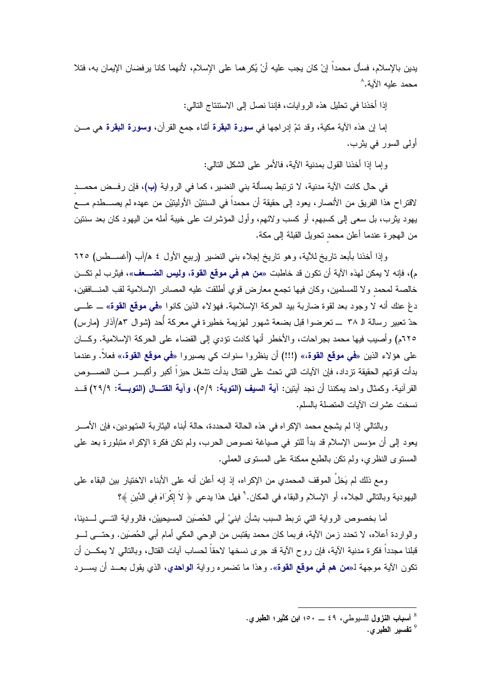يدين بالإسلام، فسأل محمداً إنْ كان يجب عليه أنْ يُكر هما على الإسلام، لأنهما كانا يرفضان الإيمان به، فتلا محمد عليه الآية.^

إذا أخذنا في تحليل هذه الروايات، فإننا نصل إلى الاستنتاج التالي:

إما إن هذه الآية مكية، وقد تمّ إدراجها في **سورة البقرة** أثناء جمع القرآن، وس**ورة البقرة** هي مـــن أولى السور في يثر ب.

و إما إذا أخذنا القول بمدنية الآية، فالأمر على الشكل التالي:

في حال كانت الآية مدنية، لا ترتبط بمسألة بني النضير ، كما في الرواية (ب)، فإن رفــض محمـــد لاقتراح هذا الفريق من الأنصار ، يعود إلى حقيقة أن محمداً في السنتيْن الأوليتيْن من عهده لم يصــــطدم مــــع يهود بثرب، بل سعى إلى كسبهم، أو كسب ولائهم، وأول المؤشرات على خيبة أمله من اليهود كان بعد سنتين من المجرة عندما أعلن محمد نحويل القبلة إلى مكة.

وإذا أخذنا بأبعد ناريخ للأية، وهو ناريخ إجلاء بني النضير (ربيع الأول ٤ ه/آب (أغســطس) ٦٢٥ م)، فإنه لا يمكن لهذه الآية أن تكون قد خاطبت «**من هم في موقع القوة، وليس الضـــعف**»، فيثرب لم تكـــن خالصة لمحمد ولا للمسلمين، وكان فيها تجمع معارض قوى أطلقت عليه المصادر الإسلامية لقب المنـــافقين، دعْ عنك أنه لا وجود بعد لقوة ضاربة بيد الحركة الإسلامية. فهؤلاء الذين كانوا «**في موقع القوة**» ـــ علـــي حدّ تعبير رسالة الـ ٣٨ ــــ تعرضوا قبل بضعة شهور لهزيمة خطيرة في معركة أُحد (شوال ٨٣/آذار (مارس) ٦٢٥م) وأصيب فيها محمد بجراحات، والأخطر أنها كادت تؤدي إلى القضاء على الحركة الإسلامية. وكـــان على هؤلاء الذين «**في موقع القوة**،» (!!!) أن ينظروا سنوات كي يصيروا «**في موقع القوة**،» فعلاً. وعندما بدأت قوتهم الحقيقة تزداد، فإن الآيات التي تحث على القتال بدأت تشغل حيزاً أكبر وأكبـــر مـــن النصــــوص القرآنية. وكمثال واحد يمكننا أن نجد آيتين: آ**ية السيف (التوبة: ٥/**٩)، **وآية القتـــال (التوبـــة**: ٢٩/٩) قــد نسخت عشر ات الآبات المتصلة بالسلم.

وبالنالبي إذا لم يشجع محمد الإكراه في هذه الحالة المحددة، حالة أبناء البثاربة المنهودين، فإن الأمــــر يعود إلى أن مؤسس الإسلام قد بدأ للتو في صياغة نصوص الحرب، ولم نكن فكرة الإكراه متبلورة بعد على المستوى النظري، ولم نكن بالطبع ممكنة على المستوى العملي.

ومع ذلك لم يَخلُ الموقف المحمدي من الإكراه، إذ إنه أعلن أنه على الأبناء الاختيار بين البقاء على اليهودية وبالنالي الجلاء، أو الإسلام والبقاء في المكان.'ْ فهل هذا يدعى ﴿ لاَ إِكْرَاهَ في الدِّينِ ﴾؟

أما بخصوص الرواية التي نربط السبب بشأن ابنيْ أبي الحُصيَن المسيحييْن، فالرواية التـــي لـــدينا، والواردة أعلاه، لا نحدد زمن الآية، فربما كان محمد يقتبس من الوحي المكي أمام أبي الحُصَين. وحتـــى لــــو قبلنا مجدداً فكرة مدنية الآية، فإن روح الآية قد جرى نسخها لاحقاً لحساب آيات القتال، وبالنالي لا يمكـــن أن تكون الآية موجهة لـ«**من هم في موقع القوة**». و هذا ما تضمر ه ر واية **الواحدي،** الذي يقول بعـــد أن يســـر د

<sup>&</sup>lt;sup>8</sup> أسباب النزول للسبوطي، ٤٩ \_ ٥٠: ابن كثير؛ الطبري.

<sup>&</sup>lt;sup>9</sup> تفسير الطبر ي.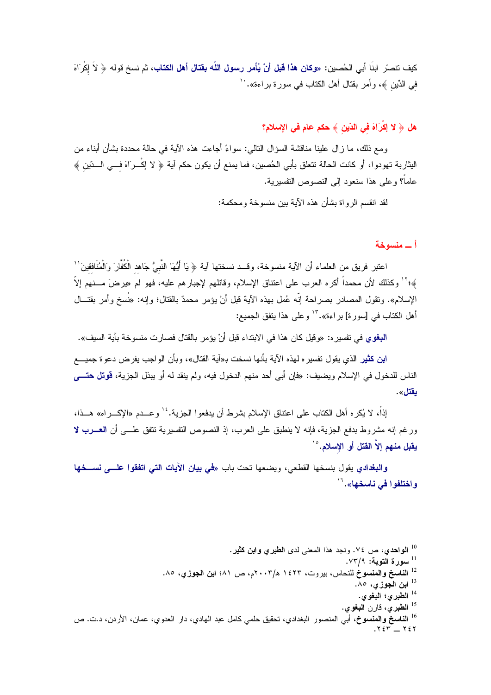كيف تتصرّر ابنَا أبي الحُصين: «**وكان هذا قبل أنْ يُأمر رسول اللّه بقتال أهل الكتاب، ثم** نسخ قوله ﴿ لاَ إكْرَاهَ في الدِّين ﴾، وأمر بقتال أهل الكتاب في سورة براءة». ``

# هل ﴿ لا إِكْرَاهَ فَى الدِّينَ ﴾ حكم عام في الإسلام؟

ومع ذلك، ما ز ال علينا مناقشة السؤ ال التالي: سو اءً أجاءت هذه الآية في حالة محددة بشأن أبناء من البثاربة تهودوا، أو كانت الحالة نتعلق بأبي الحُصين، فما يمنع أن يكون حكم آية ﴿ لا إِكْــرَاهَ فـــي الـــدّين ﴾ عاماً؟ وعلى هذا سنعود إلى النصوص التفسيرية.

لقد انقسم الرواة بشأن هذه الآية بين منسوخة ومحكمة:

أ ـــ منسوخة

اعتبر ِ فريقٍ من العلماء أن الآية منسوخة، وقــد نسختها آية ﴿ يَا أَيُّهَا النَّبِيُّ جَاهد الْكُفَّارَ وَالْمُنَافقينَ'' ﴾؛'' وكذلك لأن محمداً أكره العرب على اعتناق الإسلام، وقاتلهم لإجبارهم عليه، فهو لم «يرضَ مـــنهم إلاً الإسلام». وتقول المصادر بصراحة إنَّه عُمل بهذه الآية قبل أنْ يؤمر محمدٌ بالقتال؛ وإنه: «نُسخ وأمر بقتـــال أهل الكتاب في [سورة] براءة»."' وعلى هذا يتفق الجميع:

ا**لبغوي ف**ي نفسير ه: «وقيل كان هذا في الابتداء قبل أنْ يؤمر بالقتال فصارت منسوخة بآية السيف».

ا**بن كثير** الذي يقول تفسير ِه لهذه الآية بأنها نسخت بـ«آية القتال»، وبأن الواجب يفر ض دعو ة جميــــع الناس للدخول في الإسلام ويضيف: «فإن أبي أحد منهم الدخول فيه، ولم ينقد له أو يبذل الجزية، **قوتل حتـــــ**ى يقتل».

إذاً، لا يُكرِ ه أهل الكتاب على اعتناق الإسلام بشرط أن يدفعو ا الجزية. <sup>١٤</sup> و عــدم «الإكـــر اه» هـــذا، ورغم إنه مشروط بدفع الجزية، فإنه لا ينطبق على العرب، إذ النصوص التفسيرية تتفق علـــي أن العـــــرب لا يقبل منهم إلاّ القتل أو الإسلام.°`

والبغدادي بقول بنسخها القطعي، ويضعها تحت باب «في بيان الآيات التي اتفقوا علـــي نســـــفها و اختلفو ا في ناسخها». <sup>١٦</sup>

ابن الجوزي، ٨٥.

<sup>16</sup> ا**لنـاسـخ والمنسوخ،** أبـي المنصور البغدادي، تحقيق حلمـي كامل عبد الـهادي، دار الـعدوي، عمـان، الأردن، د.ت. ص  $.755 - 757$ 

<sup>&</sup>lt;sup>10</sup> ا**لواحدي،** ص ٧٤. ونجد هذا المعنى لدى ا**لطبري وابن كثير**.

<sup>&</sup>lt;sup>11</sup> سورة التوبة: ٧٣/٩.

<sup>&</sup>lt;sup>12</sup> ا**لناسخ والمنسوخ** للنحاس، بيروت، ١٤٢٣ ه/٢٠٠٣م، ص ٨١؛ ا**بن الجوز**ي، ٨٥.

الطبري؛ البغوي.  $^{14}$ 

<sup>&</sup>lt;sup>15</sup> الطبري، قارن البغوي.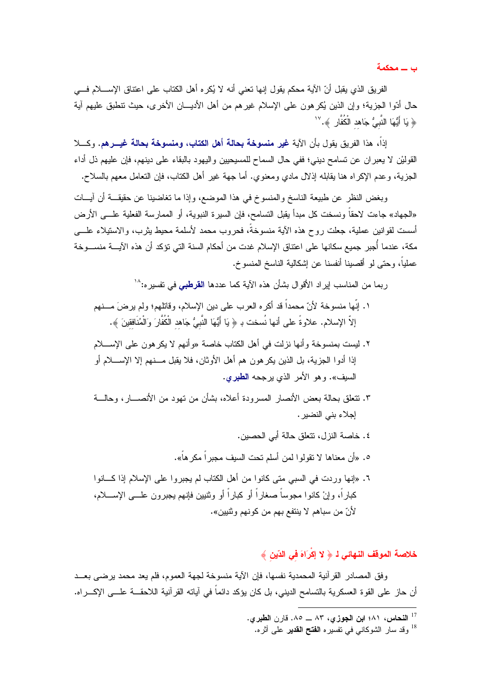ب ـــ محکمة

الفريق الذي يقبل أنّ الآية محكم يقول إنها نعني أنه لا يُكره أهل الكتاب على اعتناق الإســــلام فــــي حال أدّوا الجزية؛ وإن الذين يُكرهون على الإسلام غيرهم من أهل الأديـــان الأخرى، حيث نتطبق عليهم آية ﴿ يَا أَيُّهَا النَّبِيُّ جَاهد الْكُفَّارِ ﴾. ```

إذاً، هذا الفريق يقول بأن الآية غير منسوخة بحالة أهل الكتاب، ومنسوخة بحالة غيـــرهم. وكــــلا القوليْن لا يعبر ان عن تسامح ديني؛ ففي حال السماح للمسيحيين واليهود بالبقاء على دينهم، فإن عليهم ذل أداء الجزية، و عدم الإكراه هنا يقابله إذلال مادي ومعنوي. أما جهة غير أهل الكتاب، فإن التعامل معهم بالسلاح.

وبغض النظر عن طبيعة الناسخ والمنسوخ في هذا الموضع، وإذا ما نغاضبنا عن حقيقـــة أن آيـــات «الجهاد» جاءت لاحقاً و نسخت كل مبدأ يقبل التسامح، فإن السير ة النبوية، أو الممار سة الفعلية علـــى الأر ض أسست لقو انين عملية، جعلت روح هذه الآية منسوخةً، فحروب محمد لأسلمة محبط بثرب، والاستبلاء علـــي مكة، عندما أُجبر جميع سكانها على اعتناق الإسلام غدت من أحكام السنة التي تؤكد أن هذه الآيــــة منســـوخة عملياً، وحتى لو أقصينا أنفسنا عن إشكالية الناسخ المنسوخ.

ر يما من المناسب ابر اد الأقوال يشأن هذه الآية كما عددها ا**لقرطب**ي في تفسر ه:<sup>۱۸</sup>

- ١. إنّها منسوخة لأنّ محمداً قد أكره العرب على دين الإسلام، وقاتلهم؛ ولم يرضَ مـــنهم إلاّ الإسلام. علاوةً على أنها نُسخت بـ ﴿ يَا أَيُّهَا النَّبِيُّ جَاهد الْكُفَّارَ وَالْمُنَافِقينَ ﴾.
- ٢. ليست بمنسوخة وأنها نزلت في أهل الكتاب خاصة «وأنهم لا يكر هون على الإســــلام إذا أدوا الجزية، بل الذين يكرهون هم أهل الأوثان، فلا يقبل مـــنهم إلا الإســــلام أو السبف». و هو الأمر الذي بر جحه الطير ي.
- ٣. نتعلق بحالة بعض الأنصار المسرودة أعلاه، بشأن من نهود من الأنصــــار، وحالــــة إجلاء بني النضير .
	- ٤. خاصة النزل، تتعلق حالة أبي الحصين. ٥. «أن معناها لا نقولوا لمن أسلم تحت السيف مجبر أ مكر هاً».
- ٦. «إنها وردت في السبي متى كانوا من أهل الكتاب لم يجبروا على الإسلام إذا كـــانوا كباراً، وإنْ كانوا مجوساً صغاراً أو كباراً أو وثنيين فإنهم يجبرون علـــى الإســــلام، لأنّ من سباهم لا ينتفع بهم من كونهم وثنيين».

### خلاصة الموقف النهائي 1 ﴿ لا إكْرَاهَ في الدّينِ ﴾

وفق المصادر القرآنية المحمدية نفسها، فإن الآية منسوخة لجهة العموم، فلم يعد محمد يرضي بعــد أن حاز ٍ على القو ة العسكر ية بالتسامح الديني، بل كان يؤكد دائماً في آياته القر آنية اللاحقـــة علـــي الإكـــر اه.

<sup>&</sup>lt;sup>17</sup> النحاس، ٨١؛ ابن الجوزي، ٨٣ \_ ٨٥. قارن الطبري.

<sup>&</sup>lt;sup>18</sup> وقد سار الشوكاني في تفسيره ا**لفتح القدير** على أثره.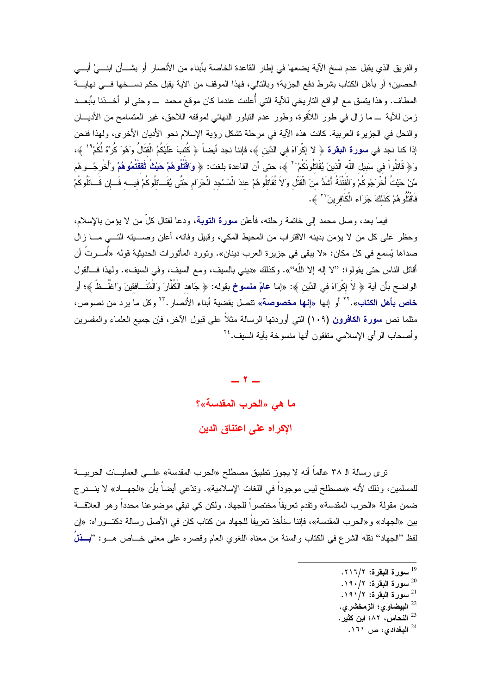والفريق الذي يقبل عدم نسخ الآية يضعها في إطار القاعدة الخاصة بأبناء من الأنصار أو بشـــأن ابنــــيْ أبــــي الحصين؛ أو بأهل الكتاب بشرط دفع الجزية؛ وبالنالبي، فهذا الموقف من الآية يقبل حكم نســـخها فــــي نـهايــــة المطاف. وهذا بنسق مع الواقع الناريخي للأية التي أُعلنت عندما كان موقع محمد ــــ وحتى لو أخــــذنا بأبعـــد زمن للأية ـــ ما زال في طور اللاّقوة، وطور عدم التبلور النهائي لموقفه اللاحق، غير المتسامح من الأديـــان والنحل في الجزير ة العربية. كانت هذه الآية في مرحلة تشكل رؤية الإسلام نحو الأديان الأخرى، ولهذا فنحن إذا كنا نجد في **سورة البقرة** ﴿ لا إكْرَاهَ في الدّين ﴾، فإننا نجد أيضاً ﴿ كُتبَ طَيْكُمُ الْقتَالُ وَهُوَ كُرْهٌ لَّكُم<sup>ْ ا</sup> ﴾، وَ﴿ قَاتِلُواْ فِي سَبِيلِ اللَّهِ الَّذِينَ يُقَاتِلُونَكُمْ ْ ۚ ﴾، حتى أن القاعدة بلغت: ﴿ وَاقْتُلُوهُمْ حَيْثُ ثَقَقْتُمُوهُمْ وَأَخْرِجُــوهُم مِّنْ حَيْثُ أَخْرَجُوكُمْ وَالْفتْنَةُ أَشَدُّ مِنَ الْقَتْل وَلاَ نُقَاتِلُوهُمْ عِندَ الْمَسْجِدِ الْحَرَام حَتّى يُقَــاتلُوكُمْ فيـــه فَـــإن فَـــاتلُوكُمْ فَاقْتُلُو هُمْ كَذَلَكَ جَزَاء الْكَافرينَ `` ﴾.

فيما بعد، وصل محمد إلى خاتمة رحلته، فأعلن سورة التوبة، ودعا لقتال كلِّ من لا يؤمن بالإسلام، وحظر على كل من لا يؤمن بدينه الاقتراب من المحيط المكي، وقبيل وفاته، أعلن وصــــيته التــــي مــــا زال صداها يُسمع في كل مكان: «لا يبقى في جزيرة العرب دينان». وتورد المأثورات الحديثية قوله «أُمـــرتُ أن أقاتل الناس حتى يقولوا: ''لا إله إلا اللَّه''». وكذلك «ديني بالسيف، ومع السيف، وفي السيف». ولـهذا فـــالقول الواضح بأن آية ﴿ لاَ إِكْرَاهَ في الدِّينِ ﴾: «إما **عامٌ منسوخ** بقوله: ﴿ جَاهد الْكُفَّارَ وَالْمُنَــافقينَ وَاغْلُــظْ ﴾؛ أو خاص بأهل الكتاب».'' أو إنها «إنها مخصوصة» تتصل بقضية أبناء الأنصار .'' وكل ما يرد من نصوص، مثلما نص **سورة الكافرون (١٠٩)** التي أوردتها الرسالة مثلاً على قبول الآخر، فإن جميع العلماء والمفسرين وأصحاب الرأى الإسلامي منفقون أنها منسوخة بآية السيف. ٢٤

> $-7-$ ما هي «الحرب المقدسة»؟ الإكراه على اعتناق الدين

ترى رسالة الـ ٣٨ عالماً أنه لا يجوز تطبيق مصطلح «الحرب المقدسة» علـــي العمليـــات الحربيــــة للمسلمين، وذلك لأنه «مصطلح ليس موجوداً في اللغات الإسلامية». وتدّعي أيضاً بأن «الجهـــاد» لا ينـــدرج ضمن مقولة «الحرب المقدسة» وتقدم تعريفاً مختصراً للجهاد. ولكن كي نبقي موضوعنا محدداً وهو العلاقـــة بين «الجهاد» و «الحر ب المقدسة»، فإننا سنأخذ تعريفاً للجهاد من كتاب كان في الأصل ر سالة دكتــور اه: «إن لفظ ''الجهاد'' نقله الشرع في الكتاب والسنة من معناه اللغوي العام وقصر ه على معنى خـــاص هـــو : ''بِـــذلُ

- <sup>19</sup> سورة البقرة: ٢١٦/٢.
- $\cdot$ سورة البقرة: ١٩٠/٢.
- <sup>21</sup> سورة البقرة: ١٩١/٢.
- البيضاوي؛ الزمخشري.  $^{22}$
- النحاس، ٨٢؛ ابن كثير.  $^{23}$ 
	- المبغدادی، ص ١٦١.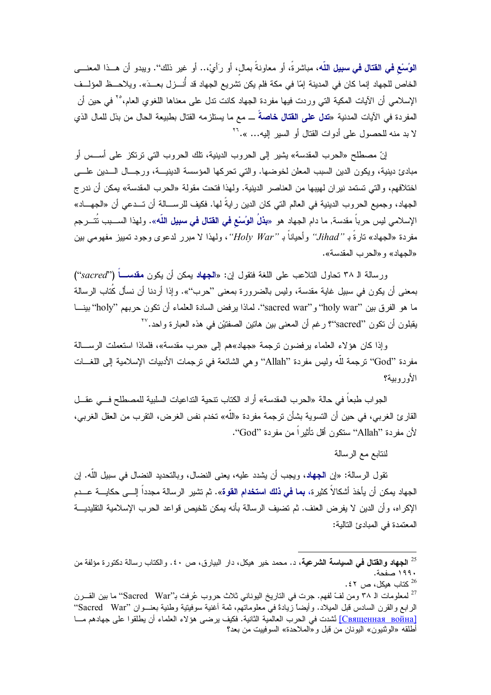الوُسْع في القتال في سبيل اللّه، مباشرةً، أو معاونةً بمال، أو رَأيْ،.. أو غير ذلك''. ويبدو أن هــذا المعنـــي الخاص للجهاد إنما كان في المدينة إمّا في مكة فلم يكن تشريع الجهاد قد أنــــزل بعـــدَ». ويلاحـــظ المؤلـــف الإسلامي أن الآيات المكية التي وردت فيها مفردة الجهاد كانت تنل على معناها اللغوي العام،°٬ في حين أن المفردة في الآيات المدنية «**تدل على القتال خاصة** ـــ مع ما يستلزمه القتال بطبيعة الحال من بذل للمال الذي لا بد منه للحصول على أدوات القتال أو السير اليه... ».<sup>71</sup>

إنّ مصطلح «الحرب المقدسة» يشير إلى الحروب الدينية، تلك الحروب التي ترتكز على أســس أو مبادئ دينية، ويكون الدين السبب المعلن لخوضها. والتي تحركها المؤسسة الدينيـــة، ورجــال الـــدين علـــي اختلافهم، والتي تستمد نيران لهيبها من العناصر الدينية. ولهذا فتحت مقولة «الحرب المقدسة» يمكن أن ندر ج الجهاد، وجميع الحروب الدينية في العالم التي كان الدين رايةً لها. فكيف للرســــالة أن تـــدعى أن «الجهــــاد» الإسلامي ليس حرباً مقدسة, ما دام الجهاد هو «**بذلَ الوُسْع في القتال في سبيل اللّه**». ولهذا الســـبب تَتـــرجم مفردة «الجهاد» نارةً بـ "Jihad" وأحياناً بـ "Holy War"، ولهذا لا مبرر لدعوى وجود تمييز مفهومي بين «الجهاد» و «الحرب المقدسة».

ورسالة الـ ٣٨ نحاول التلاعب على اللغة فتقول إن: «الجهاد يمكن أن يكون **مقدســــاً** ("sacred") بمعنى أن يكون في سبيل غاية مقدسة، وليس بالضرورة بمعنى ''حرب''». وإذا أردنا أن نسأل كُتاب الرسالة ما هو الفرق بين "holy war" و"sacred war". لماذا يرفض السادة العلماء أن نكون حربهم "holy" بينـــا يقبلون أن تكون ''sacred''؟ رغم أن المعنى بين هاتين الصفتيْن في هذه العبارة واحد.'<sup>۲۷</sup>

وإذا كان هؤلاء العلماء برفضون ترجمة «جهاد»هم إلى «حرب مقدسة»، فلماذا استعملت الرســـالة مفردة ''God'' نرجمة لله وليس مفردة ''Allah'' وهي الشائعة في نرجمات الأدبيات الإسلامية إلى اللغـــات الأوروبية؟

الجواب طبعاً في حالة «الحرب المقدسة» أراد الكتاب نتحية التداعيات السلبية للمصطلح فـــي عقـــل القارئ الغربي، في حين أن التسوية بشأن ترجمة مفردة «الله» تخدم نفس الغرض، التقرب من العقل الغربي، لأن مفردة ''Allah'' سنكون أقل تأثير أ من مفردة ''God''.

لنتابع مع الرسالة

تقول الرسالة: «إن الجهاد، ويجب أن يشدد عليه، يعني النضال، وبالتحديد النضال في سبيل الله. إن الجهاد بمكن أن بأخذ أشكالاً كثير ة، **بما ف***ي* **ذلك استخدام القوة».** ثم تشير الرسالة مجدداً إلــــى حكايــــة عـــدم الإكراه، وأن الدين لا يفرض العنف. ثم تضيف الرسالة بأنه يمكن تلخيص قواعد الحرب الإسلامية التقليديـــة المعتمدة في المبادئ التالية:

<sup>&</sup>lt;sup>25</sup> ا**لجهاد والقتال في السياسة الشرعية،** د. محمد خير هيكل، دار البيارق، ص ٤٠. والكتاب رسالة دكتورة مؤلفة من ١٩٩٠ صفحة.

<sup>. 26</sup> كتاب هيكل، ص $13$ .

<sup>&</sup>lt;sup>27</sup> لمعلومات الـ ٣٨ ومن لفّ لفهم. جرت في الناريخ اليوناني ثلاث حروب عُرفت بـ''Sacred War'' ما بين القـــرن الرابع والقرن السادس قبل الميلاد. وأيضاً زيادةً في معلوماتهم، ثمة أغنية سوفيتية وطنية بعنـــوان ''Sacred War' Священная война] أشدت في الحرب العالمية الثانية. فكيف يرضى هؤلاء العلماء أن يطلقوا على جهادهم مـــا أطلقه «الوثنيون» اليونـان من قبل و «المـلاحدة» السوفييت من بـعد؟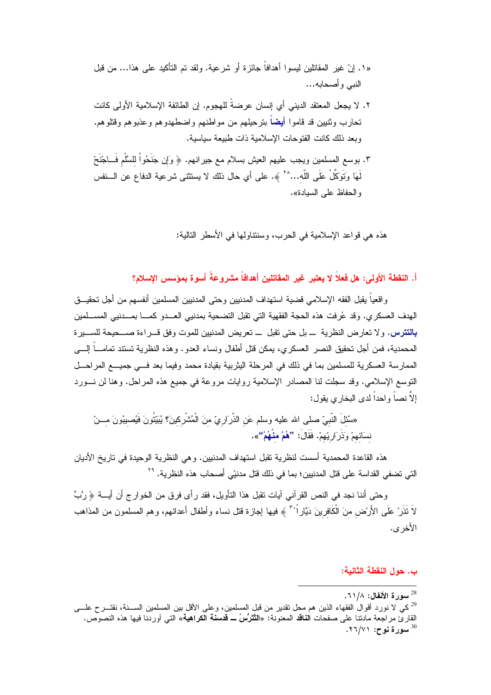- «١. انّ غير المقاتلين ليسوا أهدافاً جائزة أو شرعية. ولقد تم التأكيد على هذا… من قبل النبي وأصحابه...
- ٢. لا يجعل المعتقد الديني أي إنسان عرضةَ للهجوم. إن الطائفة الإسلامية الأولى كانت تحارب وثنيين قد قاموا أيضاً بترحيلهم من مواطنهم واضطهدوهم وعذبوهم وقتلوهم. وبعد ذلك كانت الفتوحات الإسلامية ذات طبيعة سياسية.
- ٣. بوسع المسلمين ويجب عليهم العيش بسلام مع جيرانهم. ﴿ وَإِن جَنَحُواْ لِلسَّلْمِ فَــاجْنَحْ لَهَا وَتَوَكَّلْ عَلَى اللَّه...``` ﴾. على أي حال ذلك لا يستثنى شرعية الدفاع عن الـــنفس و الحفاظ على السيادة».

هذه هي قواعد الإسلامية في الحرب، وسننتاولها في الأسطر التالية:

أ. النقطة الأولى: هل فعلاً لا يعتبر غير المقاتلين أهدافاً مشروعةً أسوة بمؤسس الإسلام؟

واقعياً يقبل الفقه الإسلامي قضية استهداف المدنيين وحتى المدنيين المسلمين أنفسهم من أجل تحقيـــق الهدف العسكري. وقد عُرفت هذه الحجة الفقهية التي نقبل التضحية بمدنيي العـــدو كمــــا بمـــدنيي المســـلمين **بالتترس**. ولا نعارض النظرية ــ بل حتى تقبل ــ تعريض المدنبين للموت وفق قـــراءة صــــحيحة للســـبرة المحمدية، فمن أجل تحقيق النصر العسكري، يمكن قتل أطفال ونساء العدو . وهذه النظرية تستند تمامـــاً إلــــى الممار سة العسكر ية للمسلمين بما في ذلك في المرحلة اليثر بية بقيادة محمد وفيما بعد فـــي جميـــع المر احـــل النوسع الإسلامي. وقد سجلت لنا المصادر الإسلامية روايات مروعة في جميع هذه المراحل. وهنا لن نـــورد إلاَّ نصباً و احداً لدى البخار ي بقول:

«سُئلَ النَّبِيّ صلى الله عليه وسلم عَن الذَّرَارِيّ منَ الْمُشْرِكينَ؟ يُبَيِّتُونَ فَيُصيبُونَ مـــنْ نسَائهمْ وَذَرَارِيّهمْ. فَقَالَ: **''هُمْ منْهُمْ''**».

هذه القاعدة المحمدية أسست لنظرية تقبل استهداف المدنيين. وهي النظرية الوحيدة في تاريخ الأديان التي تضفي القداسة على قتل المدنبين؛ بما في ذلك قتل مدنيّي أصحاب هذه النظر ية. <sup>٢٩</sup>

وحتى أننا نجد في النص القرآني آيات نقبل هذا التأويل، فقد رأى فرق من الخوارج أن أيــــة ﴿ رَّبٍّ لاَ نَذَرْ عَلَى الأَرْض منَ الْكَافرينَ دَيَّاراً ۚ ﴾ فيها إجازة فتل نساء وأطفال أعدائهم، وهم المسلمون من المذاهب الأخر ي.

### ب. حول النقطة الثانية:

سورة الأنفال: ٦١/٨.

<sup>&</sup>lt;sup>29</sup>كي لا نورد أقوالُ الفقهاء الذين هم محل نقدير من قبل المسلمين، وعلى الأقل بين المسلمين الســــنة، نقتــــرح علــــ<sub>ي</sub> القارئ مراجعة مادننا على صفحات ا**لناقد** المعنونة: «ا**لتَّتَرُّسُ ــ قدسنة الكراهية**» التي أوردنا فيها هذه النصوص. . سوړ ة نوح: ٢٦/٧١.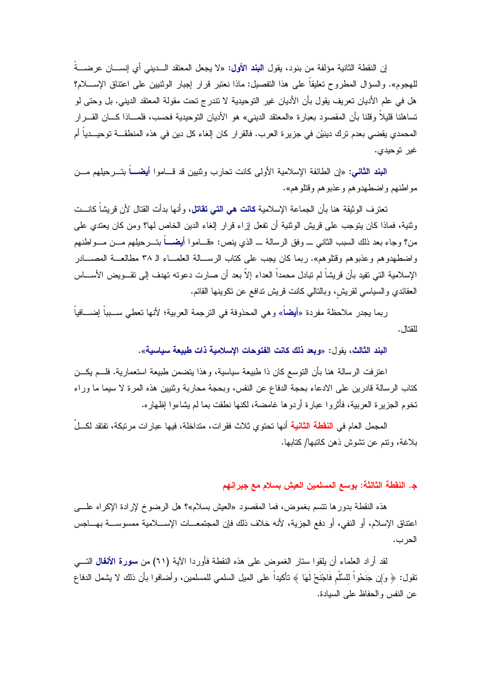إن النقطة الثانية مؤلفة من بنود، يقول ا**لبند الأول:** «لا يجعل المعتقد الـــديني أي إنســـان عرضــــةُ للهجوم». والسؤال المطروح نعليقا على هذا النفصيل: ماذا نعتبر قرار إجبار الوثنيين على اعتناق الإســــلام؟ هل في علم الأديان تعريف يقول بأن الأديان غير التوحيدية لا نتدرج تحت مقولة المعتقد الديني. بل وحتى لو تساهلنا قليلاً وقلنا بأن المقصود بعبارة «المعتقد الديني» هو الأديان التوحيدية فحسب، فلمـــاذا كــــان القــــرار المحمدي بقضي بعدم ترك دينيْن في جزيرة العرب. فالقرار كان إلغاء كل دين في هذه المنطقـــة توحيــدياً أم غير توحيدي.

ا**لبند الثاني:** «إن الطائفة الإسلامية الأولى كانت تحارب وثنيين قد قـــاموا أ**يضـــ**اً بتـــرحيلهم مـــن مو اطنهم و اضطهدو هم و عذبو هم وقتلو هم».

تعترف الوثيقة هنا بأن الجماعة الإسلامية **كانت هي التي تقاتل،** وأنها بدأت القتال لأن قريشاً كانـــت وثنية، فماذا كان يتوجب على فريش الوثنية أن نفعل إزاء قرار إلغاء الدين الخاص لها؟ ومن كان يعتدي على من؟ وجاء بعد ذلك السبب الثانبي ــــ وفق الرسالة ــــ الذي ينص: «فـــامو! أيضــــاً بتــــرحيلهم مـــن مــــواطنهم واضطهدو هم و عذبو هم وقتلو هم». ربما كان يجب على كتاب الربســالة العلمـــاء الـ ٣٨ مطالعـــة المصــــادر الإسلامية التي تفيد بأن قريشاً لم تبادل محمداً العداء إلاّ بعد أن صارت دعوته تهدف إلى تقــويض الأســـاس العقائدي والسياسي لقريش، وبالنالـي كانت قريش ندافع عن نكوينـها القائم.

ربما يجدر ملاحظة مفردة «أ**يض**اً» وهي المحذوفة في الترجمة العربية؛ لأنها تعطي ســبباً اِضــــافياً · للقتال .

البند الثالث، يقول: «وبعد ذلك كانت الفتوحات الإسلامية ذات طبيعة سياسية».

اعترفت الرسالة هنا بأن التوسع كان ذا طبيعة سياسية، وهذا يتضمن طبيعة استعمارية. فلـــم يكـــن كتاب الرسالة قادرين على الادعاء بحجة الدفاع عن النفس، وبحجة محاربة وثنيين هذه المرة لا سيما ما وراء تخوم الجزيرة العربية، فأثروا عبارة أردوها غامضة، لكنها نطقت بما لم يشاءوا إظهاره.

المجمل العام في ا**لنقطة الثانية** أنها تحتوى ثلاث فقرات، متداخلة، فيها عبارات مرتبكة، تفتقد لكـــلِّ بلاغة، ونتم عن نشوش ذهن كاتبها/ كتابها.

### ج. النقطة الثالثة: بوسع المسلمين العيش بسلام مع جيرانهم

هذه النقطة بدورها نتسم بغموض، فما المقصود «العيش بسلام»؟ هل الرضوخ لإرادة الإكراه علــــي اعتناق الإسلام، أو النفي، أو دفع الجزية، لأنه خلاف ذلك فإن المجتمعــات الإســـلامية ممسوســـة بهـــاجس الحر ب.

لقد أراد العلماء أن يلقوا ستار الغموض على هذه النقطة فأوردا الآية (٦١) من **سورة الأنفال** التــــى نقول: ﴿ وَإِن جَنَحُواْ للسَّلْمِ فَاجْنَحْ لَهَا ﴾ نـأكيداً على الميل السلمـى للمسلمين، وأضافوا بأن ذلك لا يشمل الدفاع عن النفس والحفاظ على السيادة.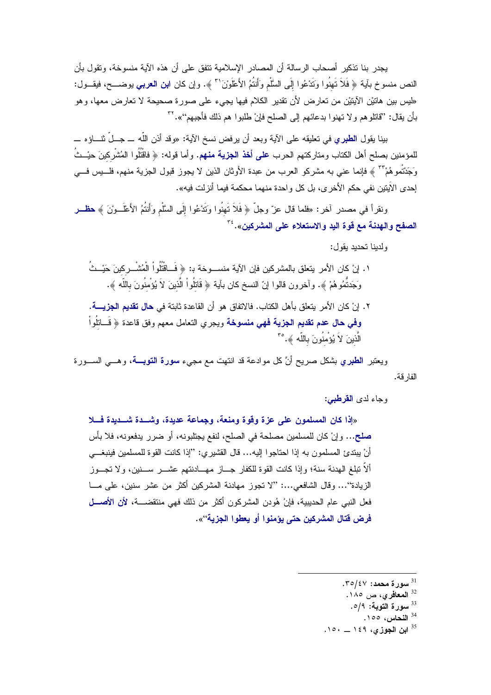يجدر بنا تذكير أصحاب الرسالة أن المصادر الإسلامية تتفق على أن هذه الآية منسوخة، وتقول بأن النص منسوخ بآية ﴿ فَلاَ تَهِنُوا وَتَدْعُوا إِلَى السَّلْمِ وَأَنتُمُ الأَعْلَوْنَ'' ﴾. وإن كان ا**بن العرب***ى* يوضـــح، فيقــول: «ليس بين هاتيْن الأيتيْن من تعارض لأن تقدير الكلام فيها يجيء على صورة صحيحة لا تعارض معها، وهو بأن يقال: ''قاتلوهم ولا تهنوا بدعائهم إلى الصلح فإنْ طلبوا هم ذلك فأجبهم''». ```

بينا يقول ا**لطبري ف**ي تعليقه على الآية وبعد أن ير فض نسخ الآية: «وقد أذن اللّه ـــ جــلّ نثـــاؤ ه ـــ للمؤمنين بصلح أهل الكتاب ومتاركتهم الحرب **على أخذ الجزية منهم.** وأما قوله: ﴿ فَاقْتُلُوا الْمُشْرِكينَ حيْــثُ وَجَدَتْموهُمْ ۚ ۚ ﴾ فإنما عني به مشركو العرب من عبدة الأوثان الذين لا يجوز قبول الجزية منهم، فلـــيس فـــي إحدى الأيتين نفي حكم الأخرى، بل كل واحدة منهما محكمة فيما أنزلت فيه».

ونقرأ في مصدر آخر: «فلما قال عزّ وجلّ ﴿ فَلاَ نَهنُوا وَتَدْعُوا إِلَى السَّلْمِ وَأَنتُمُ الأَعْلَــوْنَ ﴾ حظــر الصفح والهدنة مع قوة اليد والاستعلاء على المشركين».<sup>٣٤</sup>

ولدينا تحديد يقول:

- ١. إنْ كان الأمر يتعلق بالمشركين فإن الآية منســـوخة بـ: ﴿ فَــاقَتْلُواْ الْمُشْـــركينَ حَيْــتُ وَجَدتُمُو هُمْ ﴾. و آخرون قالو ا إنّ النسخ كان بآية ﴿ قَاتِلُو اْ الَّذِينَ لاَ يُؤْمِنُونَ بِاللَّه ﴾.
- ٢. إنْ كان الأمر يتعلق بأهل الكتاب. فالاتفاق هو أن القاعدة ثابتة في **حال تقديم الجزيــــة. وفي حال عدم تقديم الجزية فهي منسوخة** ويجري التعامل معهم وفق قاعدة ﴿ قَـــاتلُواْ الَّذِينَ لاَ يُؤْمِنُونَ بِاللَّهِ ﴾. °٢

ويعتبر ا**لطبر**ي بشكل صريح أنَّ كل موادعة قد انتهت مع مجيء **سورة التوبــــة،** وهـــي الســـورة الفار قة.

وجاء لدى ا**لقرطبي:** 

«إذا كان المسلمون على عزة وقوة ومنعة، وجماعة عديدة، وشـــدة شـــديدة فـــلا صلح... وإنْ كان للمسلمين مصلحة في الصلح، لنفع يجتلبونه، أو ضرر يدفعونه، فلا بأس أنْ يبتدئ المسلمون به إذا احتاجوا إليه... قال القشيري: ''إذا كانت القوة للمسلمين فينبغـــي ألاّ تبلغ الهدنة سنة؛ وإذا كانت القوة للكفار جـــاز مهـــادنتهم عشـــر ســـنين، و لا تجـــوز الزيادة''… وقال الشافعي…: ''لا تجوز مهادنة المشركين أكثر من عشر سنين، على مـــا فعل النبي عام الحديبية، فإنْ هُودن المشركون أكثر من ذلك فهي منتقضــــة، لأن الأ**صـــل** فرض قتال المشركين حتى يؤمنوا أو يعطوا الجزية''».

ابن الجوزى، ١٤٩ \_ ١٥٠.

 $.70/\epsilon$ سورة محمد: ٢٥/٤٧.

<sup>&</sup>lt;sup>32</sup> ا**لمعافري،** ص ١٨٥.

<sup>&</sup>lt;sup>33</sup> سورة التوبة: 0/9.

<sup>&</sup>lt;sup>34</sup> النحاس، ١٥٥.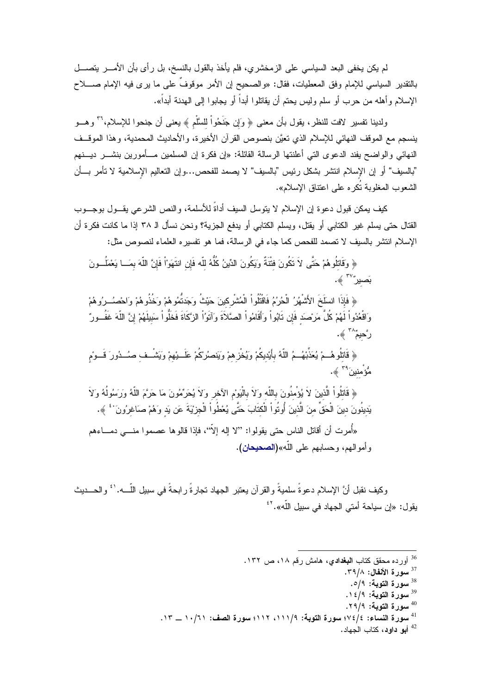لم يكن يخفي البعد السياسي على الزمخشري، فلم يأخذ بالقول بالنسخ، بل رأى بأن الأمــــر يتصــــل بالنقدير السياسي للإمام وفق المعطيات، فقال: «والصحيح إن الأمر موقوفٌ على ما يرى فيه الإمام صـــــلاح الإسلام وأهله من حرب أو سلم وليس يحتم أن يقاتلوا أبداً أو يجابوا إلى الهدنة أبداً».

ولدينا تفسير لافت للنظر ، بقول بأن معنى ﴿ وَإِن جَنَحُواْ للسَّلْمِ ﴾ بعني أن جنحوا للإسلام، `` و هب ينسجم مع الموقف النهائي للإسلام الذي تعيَّن بنصوص القرآن الأخيرة، والأحاديث المحمدية، وهذا الموقــف النهائي والواضح بفند الدعوى التي أعلنتها الرسالة القائلة: «إن فكرة إن المسلمين مـــأمورين بنشـــر ديـــنهم "بالسيف" أو إن الإسلام انتشر بشكل رئيس "بالسيف" لا يصمد للفحص…وإن التعاليم الإسلامية لا نأمر بـــأن الشعوب المغلوبة تُكره على اعتناق الإسلام».

كيف يمكن قبول دعوة إن الإسلام لا يتوسل السيف أداةً للأسلمة، والنص الشرعي يقـــول بوجـــوب القتال حتى يسلم غير الكتابي أو يقتل، ويسلم الكتابي أو يدفع الجزية؟ ونحن نسأل الـ ٣٨ إذا ما كانت فكرة أن الإسلام انتشر بالسيف لا تصمد للفحص كما جاء في الرسالة، فما هو تفسير ه العلماء لنصوص مثل:

﴿ وَقَاتِلُوهُمْ حَتَّى لاَ تَكُونَ فِتْنَةٌ وَيَكُونَ الدِّينُ كُلُّهُ للّه فَإِن انتَهَوْاْ فَإِنَّ اللّهَ بمَــا يَعْمَلُــونَ بَصيرٌ ٌ ﴾.

﴿ فَإِذَا انسَلَخَ الأَشْهُرُ الْحُرُمُ فَاقْتُلُواْ الْمُشْرِكينَ حَيْثُ وَجَدَتُمُوهُمْ وَخُذُوهُمْ وَاحْصُــرُوهُمْ وَاقْعُدُواْ لَهُمْ كُلَّ مَرْصَدَ فَإِن تَابُواْ وَأَقَامُواْ الصَّلاَةَ وَآتَوُاْ الزَّكَاةَ فَخَلُواْ سَبيلَهُمْ إِنَّ اللّهَ غَفُــورٌ رَّحيمٌ ۖ ﴾.

﴿ قَاتُلُوهُــمْ يُعَذِّبُهُــمُ اللّهُ بأَيْديكُمْ وَيُغْزِهِمْ وَيَنصُرْكُمْ عَلَــبِيْهِمْ وَيَشْــف صُــدُورَ قَــومْ مُّؤ<sup>ْ</sup>منين<sup>َ ٣٩</sup> ﴾.

﴿ قَاتُلُواْ الَّذِينَ لاَ يُؤْمِنُونَ بِاللَّهِ وَلاَ بِالْيَوْمِ الْآخِرِ وَلاَ يُحَرِّمُونَ مَا حَرَّمَ اللَّهُ وَرَسُولُهُ وَلاَ يَدِينُونَ دينَ الْحَقِّ منَ الَّذينَ أُوتُواْ الْكتَابَ حَتَّى يُعْطُواْ الْجِزْيَةَ عَن يَد وَهُمْ صَاغرُونَ ' ۚ ﴾. «أُمر ت أن أقاتل الناس حتى بقولو ا: ''لا إله إلاَّ''، فإذا قالو ها عصمو ا منــــى دمـــاءهم و أمو الهم، وحسابهم على اللّه»(ا**لصحيحان).** 

وكيف نقبل أنَّ الإسلام دعو ةُ سلميةً و القر آن يعتبر الجهاد تجار ةُ ر ابحةً في سبيل اللَّـــه. ` ُ و الحـــديث يقول: «إن سياحة أمتى الجهاد في سبيل اللّه».<sup>٢٢</sup>

- <sup>36</sup> أورده محقق كتاب ا**لبغدادي**، هامش رقم ١٨، ص ١٣٢.
	- <sup>37</sup> سورة الأنفال: ٣٩/٨.
		- <sup>38</sup> سورة التوبة: 0/9.
	- <sup>39</sup> سورة التوبة: ١٤/٩.
	- سورة التوبة: ٢٩/٩.
- $^{41}$ سورة النساء: ٤/٤/٤ سورة التوبة: ٩/١١١، ١١١٢؛ سورة الصف: ١٠/١١ ــ ١٣.
	- <sup>42</sup> أبو داود، كتاب الجهاد.